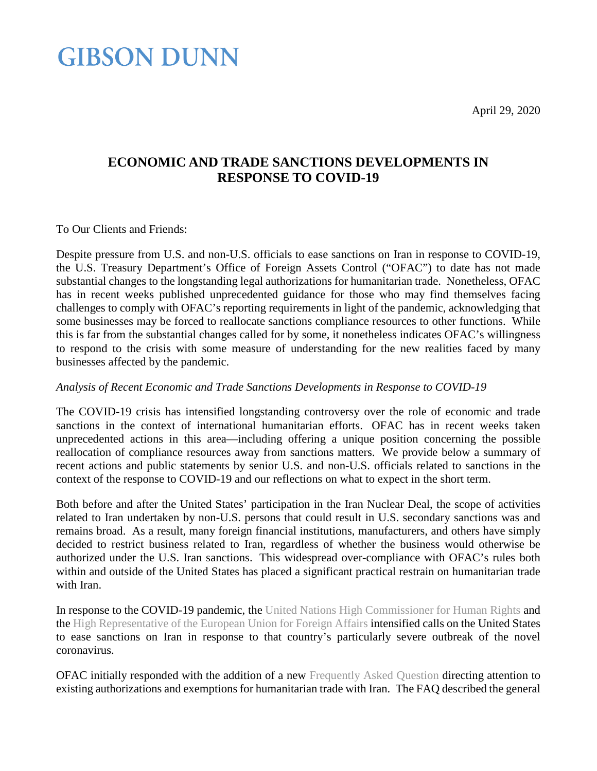April 29, 2020

### **GIBSON DUNN**

#### **ECONOMIC AND TRADE SANCTIONS DEVELOPMENTS IN RESPONSE TO COVID-19**

To Our Clients and Friends:

Despite pressure from U.S. and non-U.S. officials to ease sanctions on Iran in response to COVID-19, the U.S. Treasury Department's Office of Foreign Assets Control ("OFAC") to date has not made substantial changes to the longstanding legal authorizations for humanitarian trade. Nonetheless, OFAC has in recent weeks published unprecedented guidance for those who may find themselves facing challenges to comply with OFAC's reporting requirements in light of the pandemic, acknowledging that some businesses may be forced to reallocate sanctions compliance resources to other functions. While this is far from the substantial changes called for by some, it nonetheless indicates OFAC's willingness to respond to the crisis with some measure of understanding for the new realities faced by many businesses affected by the pandemic.

#### *Analysis of Recent Economic and Trade Sanctions Developments in Response to COVID-19*

The COVID-19 crisis has intensified longstanding controversy over the role of economic and trade sanctions in the context of international humanitarian efforts. OFAC has in recent weeks taken unprecedented actions in this area—including offering a unique position concerning the possible reallocation of compliance resources away from sanctions matters. We provide below a summary of recent actions and public statements by senior U.S. and non-U.S. officials related to sanctions in the context of the response to COVID-19 and our reflections on what to expect in the short term.

Both before and after the United States' participation in the Iran Nuclear Deal, the scope of activities related to Iran undertaken by non-U.S. persons that could result in U.S. secondary sanctions was and remains broad. As a result, many foreign financial institutions, manufacturers, and others have simply decided to restrict business related to Iran, regardless of whether the business would otherwise be authorized under the U.S. Iran sanctions. This widespread over-compliance with OFAC's rules both within and outside of the United States has placed a significant practical restrain on humanitarian trade with Iran.

In response to the COVID-19 pandemic, the [United Nations High Commissioner for Human Rights](https://www.ohchr.org/EN/NewsEvents/Pages/DisplayNews.aspx?NewsID=25744&LangID=E) and the [High Representative of the European Union for Foreign Affairs](https://www.consilium.europa.eu/en/press/press-releases/2020/04/03/declaration-by-the-high-representative-josep-borrell-on-behalf-of-the-eu-on-the-un-secretary-general-s-appeal-for-an-immediate-global-ceasefire/) intensified calls on the United States to ease sanctions on Iran in response to that country's particularly severe outbreak of the novel coronavirus.

OFAC initially responded with the addition of a new [Frequently Asked Question](https://www.treasury.gov/resource-center/faqs/Sanctions/Pages/faq_iran.aspx#828) directing attention to existing authorizations and exemptions for humanitarian trade with Iran. The FAQ described the general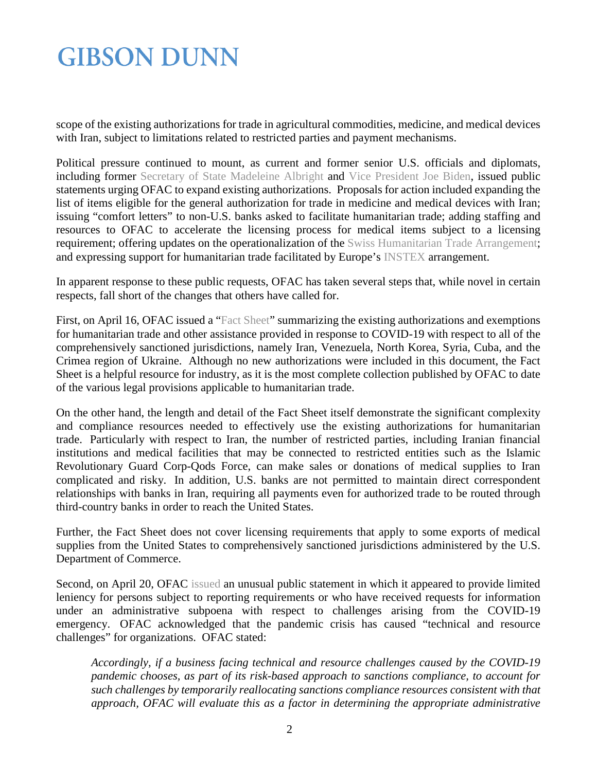# **GIBSON DUNN**

scope of the existing authorizations for trade in agricultural commodities, medicine, and medical devices with Iran, subject to limitations related to restricted parties and payment mechanisms.

Political pressure continued to mount, as current and former senior U.S. officials and diplomats, including former [Secretary of State Madeleine Albright](https://www.europeanleadershipnetwork.org/group-statement/elntip_iran_april2020/) and [Vice President Joe Biden,](https://medium.com/@JoeBiden/statement-from-vice-president-joe-biden-on-sanctions-relief-during-covid-19-f7c2447416f0) issued public statements urging OFAC to expand existing authorizations. Proposals for action included expanding the list of items eligible for the general authorization for trade in medicine and medical devices with Iran; issuing "comfort letters" to non-U.S. banks asked to facilitate humanitarian trade; adding staffing and resources to OFAC to accelerate the licensing process for medical items subject to a licensing requirement; offering updates on the operationalization of the [Swiss Humanitarian Trade Arrangement;](https://home.treasury.gov/news/press-releases/sm919) and expressing support for humanitarian trade facilitated by Europe's [INSTEX](https://www.euractiv.com/section/global-europe/news/eus-instex-mechanism-facilitates-first-transaction-with-pandemic-hit-iran/) arrangement.

In apparent response to these public requests, OFAC has taken several steps that, while novel in certain respects, fall short of the changes that others have called for.

First, on April 16, OFAC issued a ["Fact Sheet"](https://www.treasury.gov/resource-center/sanctions/Programs/Documents/covid19_factsheet_20200416.pdf) summarizing the existing authorizations and exemptions for humanitarian trade and other assistance provided in response to COVID-19 with respect to all of the comprehensively sanctioned jurisdictions, namely Iran, Venezuela, North Korea, Syria, Cuba, and the Crimea region of Ukraine. Although no new authorizations were included in this document, the Fact Sheet is a helpful resource for industry, as it is the most complete collection published by OFAC to date of the various legal provisions applicable to humanitarian trade.

On the other hand, the length and detail of the Fact Sheet itself demonstrate the significant complexity and compliance resources needed to effectively use the existing authorizations for humanitarian trade. Particularly with respect to Iran, the number of restricted parties, including Iranian financial institutions and medical facilities that may be connected to restricted entities such as the Islamic Revolutionary Guard Corp-Qods Force, can make sales or donations of medical supplies to Iran complicated and risky. In addition, U.S. banks are not permitted to maintain direct correspondent relationships with banks in Iran, requiring all payments even for authorized trade to be routed through third-country banks in order to reach the United States.

Further, the Fact Sheet does not cover licensing requirements that apply to some exports of medical supplies from the United States to comprehensively sanctioned jurisdictions administered by the U.S. Department of Commerce.

Second, on April 20, OFAC [issued](https://www.treasury.gov/resource-center/sanctions/OFAC-Enforcement/Pages/20200420.aspx) an unusual public statement in which it appeared to provide limited leniency for persons subject to reporting requirements or who have received requests for information under an administrative subpoena with respect to challenges arising from the COVID-19 emergency. OFAC acknowledged that the pandemic crisis has caused "technical and resource challenges" for organizations. OFAC stated:

*Accordingly, if a business facing technical and resource challenges caused by the COVID-19 pandemic chooses, as part of its risk-based approach to sanctions compliance, to account for such challenges by temporarily reallocating sanctions compliance resources consistent with that approach, OFAC will evaluate this as a factor in determining the appropriate administrative*